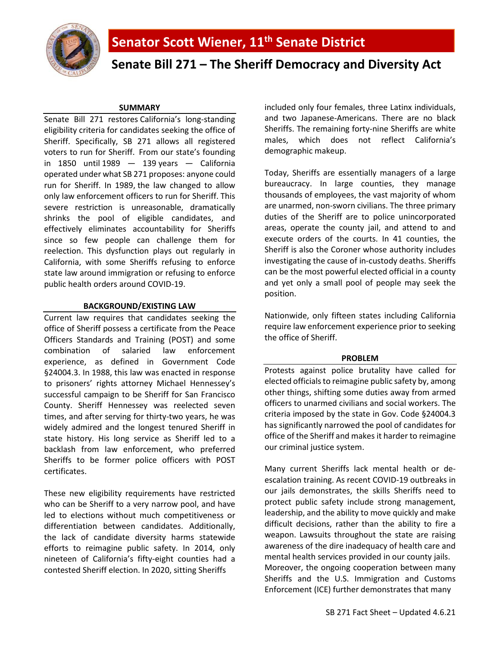

# **Senate Bill 271 – The Sheriff Democracy and Diversity Act**

## **SUMMARY**

Senate Bill 271 restores California's long-standing eligibility criteria for candidates seeking the office of Sheriff. Specifically, SB 271 allows all registered voters to run for Sheriff. From our state's founding in  $1850$  until  $1989 - 139$  $1989 - 139$  years  $-$  California operated under what SB 271 proposes: anyone could run for Sheriff. In 1989, the law changed to allow only law enforcement officers to run for Sheriff. This severe restriction is unreasonable, dramatically shrinks the pool of eligible candidates, and effectively eliminates accountability for Sheriffs since so few people can challenge them for reelection. This dysfunction plays out regularly in California, with some Sheriffs refusing to enforce state law around immigration or refusing to enforce public health orders around COVID-19.

## **BACKGROUND/EXISTING LAW**

Current law requires that candidates seeking the office of Sheriff possess a certificate from the Peace Officers Standards and Training (POST) and some combination of salaried law enforcement experience, as defined in Government Code §24004.3. In 1988, this law was enacted in response to prisoners' rights attorney Michael Hennessey's successful campaign to be Sheriff for San Francisco County. Sheriff Hennessey was reelected seven times, and after serving for thirty-two years, he was widely admired and the longest tenured Sheriff in state history. His long service as Sheriff led to a backlash from law enforcement, who preferred Sheriffs to be former police officers with POST certificates.

These new eligibility requirements have restricted who can be Sheriff to a very narrow pool, and have led to elections without much competitiveness or differentiation between candidates. Additionally, the lack of candidate diversity harms statewide efforts to reimagine public safety. In 2014, only nineteen of California's fifty-eight counties had a contested Sheriff election. In 2020, sitting Sheriffs

included only four females, three Latinx individuals, and two Japanese-Americans. There are no black Sheriffs. The remaining forty-nine Sheriffs are white males, which does not reflect California's demographic makeup.

Today, Sheriffs are essentially managers of a large bureaucracy. In large counties, they manage thousands of employees, the vast majority of whom are unarmed, non-sworn civilians. The three primary duties of the Sheriff are to police unincorporated areas, operate the county jail, and attend to and execute orders of the courts. In 41 counties, the Sheriff is also the Coroner whose authority includes investigating the cause of in-custody deaths. Sheriffs can be the most powerful elected official in a county and yet only a small pool of people may seek the position.

Nationwide, only fifteen states including California require law enforcement experience prior to seeking the office of Sheriff.

#### **PROBLEM**

Protests against police brutality have called for elected officials to reimagine public safety by, among other things, shifting some duties away from armed officers to unarmed civilians and social workers. The criteria imposed by the state in Gov. Code §24004.3 has significantly narrowed the pool of candidates for office of the Sheriff and makes it harder to reimagine our criminal justice system.

Many current Sheriffs lack mental health or deescalation training. As recent COVID-19 outbreaks in our jails demonstrates, the skills Sheriffs need to protect public safety include strong management, leadership, and the ability to move quickly and make difficult decisions, rather than the ability to fire a weapon. Lawsuits throughout the state are raising awareness of the dire inadequacy of health care and mental health services provided in our county jails. Moreover, the ongoing cooperation between many Sheriffs and the U.S. Immigration and Customs Enforcement (ICE) further demonstrates that many